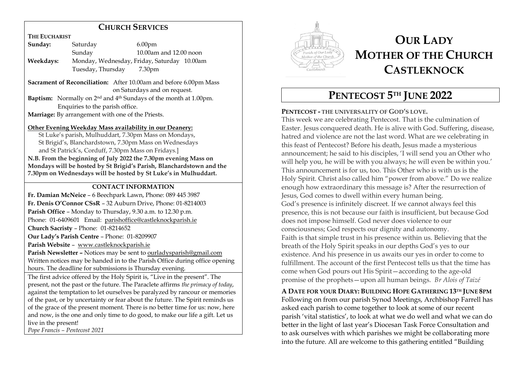# **CHURCH SERVICES**

**THE EUCHARIST**

| Sunday:   | Saturday          | 6.00 <sub>pm</sub>                          |
|-----------|-------------------|---------------------------------------------|
|           | Sunday            | $10.00$ am and $12.00$ noon                 |
| Weekdays: |                   | Monday, Wednesday, Friday, Saturday 10.00am |
|           | Tuesday, Thursday | 7.30pm                                      |

**Sacrament of Reconciliation:** After 10.00am and before 6.00pm Mass on Saturdays and on request.

**Baptism:** Normally on 2nd and 4 th Sundays of the month at 1.00pm. Enquiries to the parish office.

**Marriage:** By arrangement with one of the Priests.

#### **Other Evening Weekday Mass availability in our Deanery:**

 St Luke's parish, Mulhuddart, 7.30pm Mass on Mondays, St Brigid's, Blanchardstown, 7.30pm Mass on Wednesdays and St Patrick's, Corduff, 7.30pm Mass on Fridays.]

**N.B. From the beginning of July 2022 the 7.30pm evening Mass on Mondays will be hosted by St Brigid's Parish, Blanchardstown and the 7.30pm on Wednesdays will be hosted by St Luke's in Mulhuddart.** 

### **CONTACT INFORMATION**

**Fr. Damian McNeice** – 6 Beechpark Lawn, Phone: 089 445 3987 **Fr. Denis O'Connor CSsR** – 32 Auburn Drive, Phone: 01-8214003 **Parish Office** – Monday to Thursday, 9.30 a.m. to 12.30 p.m. Phone: 01-6409601 Email: parishoffice@castleknockparish.ie **Church Sacristy** – Phone: 01-8214652 **Our Lady's Parish Centre** – Phone: 01-8209907 **Parish Website** – www.castleknockparish.ie **Parish Newsletter –** Notices may be sent to ourladysparish@gmail.com Written notices may be handed in to the Parish Office during office opening hours. The deadline for submissions is Thursday evening.

The first advice offered by the Holy Spirit is, "Live in the present". The present, not the past or the future. The Paraclete affirms *the primacy of today*, against the temptation to let ourselves be paralyzed by rancour or memories of the past, or by uncertainty or fear about the future. The Spirit reminds us of the grace of the present moment. There is no better time for us: now, here and now, is the one and only time to do good, to make our life a gift. Let us live in the present! *Pope Francis – Pentecost 2021*



# **OUR LADY MOTHER OF THE CHURCH CASTLEKNOCK**

# **PENTECOST 5 TH JUNE 2022**

# **PENTECOST - THE UNIVERSALITY OF GOD'S LOVE.**

This week we are celebrating Pentecost. That is the culmination of Easter. Jesus conquered death. He is alive with God. Suffering, disease, hatred and violence are not the last word. What are we celebrating in this feast of Pentecost? Before his death, Jesus made a mysterious announcement; he said to his disciples, 'I will send you an Other who will help you, he will be with you always; he will even be within you.' This announcement is for us, too. This Other who is with us is the Holy Spirit. Christ also called him "power from above." Do we realize enough how extraordinary this message is? After the resurrection of Jesus, God comes to dwell within every human being. God's presence is infinitely discreet. If we cannot always feel this presence, this is not because our faith is insufficient, but because God does not impose himself. God never does violence to our consciousness; God respects our dignity and autonomy. Faith is that simple trust in his presence within us. Believing that the breath of the Holy Spirit speaks in our depths God's yes to our existence. And his presence in us awaits our yes in order to come to fulfillment. The account of the first Pentecost tells us that the time has come when God pours out His Spirit—according to the age-old promise of the prophets—upon all human beings. *Br Alois of Taizé*

# **A DATE FOR YOUR DIARY: BUILDING HOPE GATHERING 13TH JUNE 8PM**

Following on from our parish Synod Meetings, Archbishop Farrell has asked each parish to come together to look at some of our recent parish 'vital statistics', to look at what we do well and what we can do better in the light of last year's Diocesan Task Force Consultation and to ask ourselves with which parishes we might be collaborating more into the future. All are welcome to this gathering entitled "Building